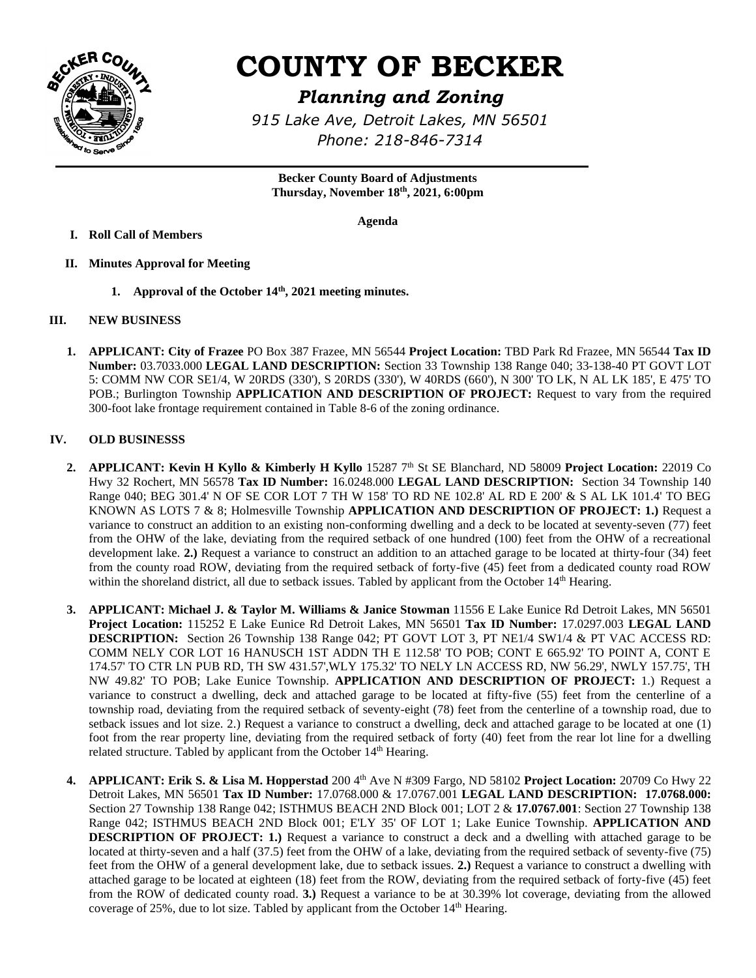

# **COUNTY OF BECKER**

## *Planning and Zoning*

*915 Lake Ave, Detroit Lakes, MN 56501 Phone: 218-846-7314* 

**Becker County Board of Adjustments Thursday, November 18th , 2021, 6:00pm**

**Agenda**

- **I. Roll Call of Members**
- **II. Minutes Approval for Meeting**
	- **1. Approval of the October 14th , 2021 meeting minutes.**

### **III. NEW BUSINESS**

**1. APPLICANT: City of Frazee** PO Box 387 Frazee, MN 56544 **Project Location:** TBD Park Rd Frazee, MN 56544 **Tax ID Number:** 03.7033.000 **LEGAL LAND DESCRIPTION:** Section 33 Township 138 Range 040; 33-138-40 PT GOVT LOT 5: COMM NW COR SE1/4, W 20RDS (330'), S 20RDS (330'), W 40RDS (660'), N 300' TO LK, N AL LK 185', E 475' TO POB.; Burlington Township **APPLICATION AND DESCRIPTION OF PROJECT:** Request to vary from the required 300-foot lake frontage requirement contained in Table 8-6 of the zoning ordinance.

#### **IV. OLD BUSINESSS**

- **2. APPLICANT: Kevin H Kyllo & Kimberly H Kyllo** 15287 7th St SE Blanchard, ND 58009 **Project Location:** 22019 Co Hwy 32 Rochert, MN 56578 **Tax ID Number:** 16.0248.000 **LEGAL LAND DESCRIPTION:** Section 34 Township 140 Range 040; BEG 301.4' N OF SE COR LOT 7 TH W 158' TO RD NE 102.8' AL RD E 200' & S AL LK 101.4' TO BEG KNOWN AS LOTS 7 & 8; Holmesville Township **APPLICATION AND DESCRIPTION OF PROJECT: 1.)** Request a variance to construct an addition to an existing non-conforming dwelling and a deck to be located at seventy-seven (77) feet from the OHW of the lake, deviating from the required setback of one hundred (100) feet from the OHW of a recreational development lake. **2.)** Request a variance to construct an addition to an attached garage to be located at thirty-four (34) feet from the county road ROW, deviating from the required setback of forty-five (45) feet from a dedicated county road ROW within the shoreland district, all due to setback issues. Tabled by applicant from the October  $14<sup>th</sup>$  Hearing.
- **3. APPLICANT: Michael J. & Taylor M. Williams & Janice Stowman** 11556 E Lake Eunice Rd Detroit Lakes, MN 56501 **Project Location:** 115252 E Lake Eunice Rd Detroit Lakes, MN 56501 **Tax ID Number:** 17.0297.003 **LEGAL LAND DESCRIPTION:** Section 26 Township 138 Range 042; PT GOVT LOT 3, PT NE1/4 SW1/4 & PT VAC ACCESS RD: COMM NELY COR LOT 16 HANUSCH 1ST ADDN TH E 112.58' TO POB; CONT E 665.92' TO POINT A, CONT E 174.57' TO CTR LN PUB RD, TH SW 431.57',WLY 175.32' TO NELY LN ACCESS RD, NW 56.29', NWLY 157.75', TH NW 49.82' TO POB; Lake Eunice Township. **APPLICATION AND DESCRIPTION OF PROJECT:** 1.) Request a variance to construct a dwelling, deck and attached garage to be located at fifty-five (55) feet from the centerline of a township road, deviating from the required setback of seventy-eight (78) feet from the centerline of a township road, due to setback issues and lot size. 2.) Request a variance to construct a dwelling, deck and attached garage to be located at one (1) foot from the rear property line, deviating from the required setback of forty (40) feet from the rear lot line for a dwelling related structure. Tabled by applicant from the October 14<sup>th</sup> Hearing.
- **4. APPLICANT: Erik S. & Lisa M. Hopperstad** 200 4<sup>th</sup> Ave N #309 Fargo, ND 58102 **Project Location:** 20709 Co Hwy 22 Detroit Lakes, MN 56501 **Tax ID Number:** 17.0768.000 & 17.0767.001 **LEGAL LAND DESCRIPTION: 17.0768.000:** Section 27 Township 138 Range 042; ISTHMUS BEACH 2ND Block 001; LOT 2 & **17.0767.001**: Section 27 Township 138 Range 042; ISTHMUS BEACH 2ND Block 001; E'LY 35' OF LOT 1; Lake Eunice Township. **APPLICATION AND DESCRIPTION OF PROJECT: 1.)** Request a variance to construct a deck and a dwelling with attached garage to be located at thirty-seven and a half (37.5) feet from the OHW of a lake, deviating from the required setback of seventy-five (75) feet from the OHW of a general development lake, due to setback issues. **2.)** Request a variance to construct a dwelling with attached garage to be located at eighteen (18) feet from the ROW, deviating from the required setback of forty-five (45) feet from the ROW of dedicated county road. **3.)** Request a variance to be at 30.39% lot coverage, deviating from the allowed coverage of 25%, due to lot size. Tabled by applicant from the October 14th Hearing.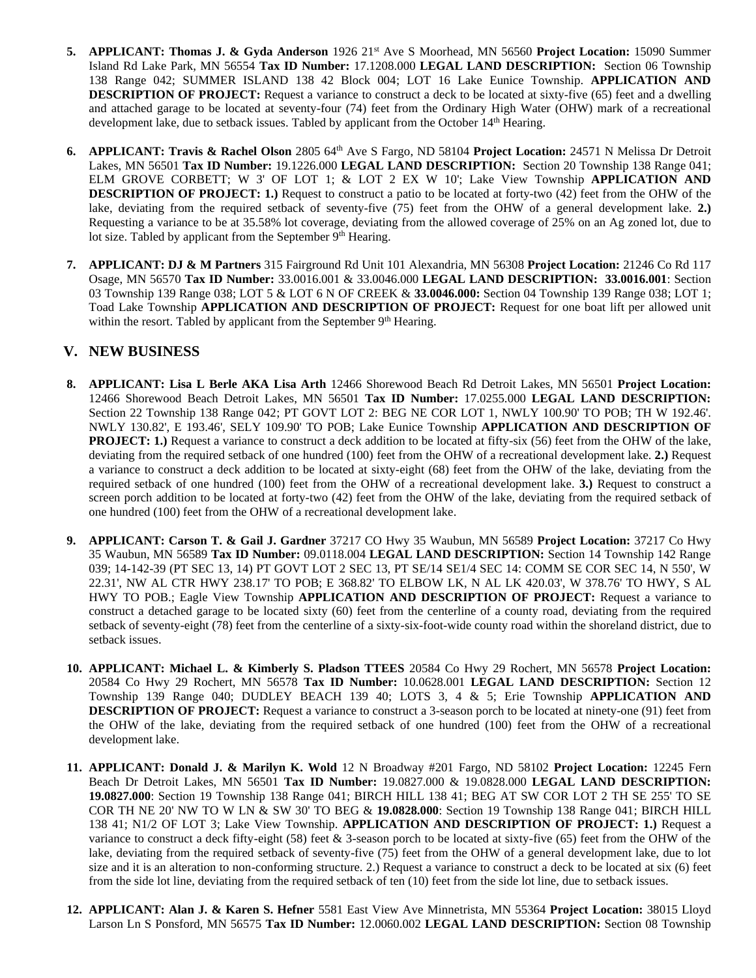- **5. APPLICANT: Thomas J. & Gyda Anderson** 1926 21st Ave S Moorhead, MN 56560 **Project Location:** 15090 Summer Island Rd Lake Park, MN 56554 **Tax ID Number:** 17.1208.000 **LEGAL LAND DESCRIPTION:** Section 06 Township 138 Range 042; SUMMER ISLAND 138 42 Block 004; LOT 16 Lake Eunice Township. **APPLICATION AND DESCRIPTION OF PROJECT:** Request a variance to construct a deck to be located at sixty-five (65) feet and a dwelling and attached garage to be located at seventy-four (74) feet from the Ordinary High Water (OHW) mark of a recreational development lake, due to setback issues. Tabled by applicant from the October 14<sup>th</sup> Hearing.
- **6. APPLICANT: Travis & Rachel Olson** 2805 64<sup>th</sup> Ave S Fargo, ND 58104 **Project Location:** 24571 N Melissa Dr Detroit Lakes, MN 56501 **Tax ID Number:** 19.1226.000 **LEGAL LAND DESCRIPTION:** Section 20 Township 138 Range 041; ELM GROVE CORBETT; W 3' OF LOT 1; & LOT 2 EX W 10'; Lake View Township **APPLICATION AND DESCRIPTION OF PROJECT: 1.)** Request to construct a patio to be located at forty-two (42) feet from the OHW of the lake, deviating from the required setback of seventy-five (75) feet from the OHW of a general development lake. **2.)** Requesting a variance to be at 35.58% lot coverage, deviating from the allowed coverage of 25% on an Ag zoned lot, due to lot size. Tabled by applicant from the September 9<sup>th</sup> Hearing.
- **7. APPLICANT: DJ & M Partners** 315 Fairground Rd Unit 101 Alexandria, MN 56308 **Project Location:** 21246 Co Rd 117 Osage, MN 56570 **Tax ID Number:** 33.0016.001 & 33.0046.000 **LEGAL LAND DESCRIPTION: 33.0016.001**: Section 03 Township 139 Range 038; LOT 5 & LOT 6 N OF CREEK & **33.0046.000:** Section 04 Township 139 Range 038; LOT 1; Toad Lake Township **APPLICATION AND DESCRIPTION OF PROJECT:** Request for one boat lift per allowed unit within the resort. Tabled by applicant from the September 9<sup>th</sup> Hearing.

### **V. NEW BUSINESS**

- **8. APPLICANT: Lisa L Berle AKA Lisa Arth** 12466 Shorewood Beach Rd Detroit Lakes, MN 56501 **Project Location:**  12466 Shorewood Beach Detroit Lakes, MN 56501 **Tax ID Number:** 17.0255.000 **LEGAL LAND DESCRIPTION:** Section 22 Township 138 Range 042; PT GOVT LOT 2: BEG NE COR LOT 1, NWLY 100.90' TO POB; TH W 192.46'. NWLY 130.82', E 193.46', SELY 109.90' TO POB; Lake Eunice Township **APPLICATION AND DESCRIPTION OF PROJECT: 1.)** Request a variance to construct a deck addition to be located at fifty-six (56) feet from the OHW of the lake, deviating from the required setback of one hundred (100) feet from the OHW of a recreational development lake. **2.)** Request a variance to construct a deck addition to be located at sixty-eight (68) feet from the OHW of the lake, deviating from the required setback of one hundred (100) feet from the OHW of a recreational development lake. **3.)** Request to construct a screen porch addition to be located at forty-two (42) feet from the OHW of the lake, deviating from the required setback of one hundred (100) feet from the OHW of a recreational development lake.
- **9. APPLICANT: Carson T. & Gail J. Gardner** 37217 CO Hwy 35 Waubun, MN 56589 **Project Location:** 37217 Co Hwy 35 Waubun, MN 56589 **Tax ID Number:** 09.0118.004 **LEGAL LAND DESCRIPTION:** Section 14 Township 142 Range 039; 14-142-39 (PT SEC 13, 14) PT GOVT LOT 2 SEC 13, PT SE/14 SE1/4 SEC 14: COMM SE COR SEC 14, N 550', W 22.31', NW AL CTR HWY 238.17' TO POB; E 368.82' TO ELBOW LK, N AL LK 420.03', W 378.76' TO HWY, S AL HWY TO POB.; Eagle View Township **APPLICATION AND DESCRIPTION OF PROJECT:** Request a variance to construct a detached garage to be located sixty (60) feet from the centerline of a county road, deviating from the required setback of seventy-eight (78) feet from the centerline of a sixty-six-foot-wide county road within the shoreland district, due to setback issues.
- **10. APPLICANT: Michael L. & Kimberly S. Pladson TTEES** 20584 Co Hwy 29 Rochert, MN 56578 **Project Location:**  20584 Co Hwy 29 Rochert, MN 56578 **Tax ID Number:** 10.0628.001 **LEGAL LAND DESCRIPTION:** Section 12 Township 139 Range 040; DUDLEY BEACH 139 40; LOTS 3, 4 & 5; Erie Township **APPLICATION AND DESCRIPTION OF PROJECT:** Request a variance to construct a 3-season porch to be located at ninety-one (91) feet from the OHW of the lake, deviating from the required setback of one hundred (100) feet from the OHW of a recreational development lake.
- **11. APPLICANT: Donald J. & Marilyn K. Wold** 12 N Broadway #201 Fargo, ND 58102 **Project Location:** 12245 Fern Beach Dr Detroit Lakes, MN 56501 **Tax ID Number:** 19.0827.000 & 19.0828.000 **LEGAL LAND DESCRIPTION: 19.0827.000**: Section 19 Township 138 Range 041; BIRCH HILL 138 41; BEG AT SW COR LOT 2 TH SE 255' TO SE COR TH NE 20' NW TO W LN & SW 30' TO BEG & **19.0828.000**: Section 19 Township 138 Range 041; BIRCH HILL 138 41; N1/2 OF LOT 3; Lake View Township. **APPLICATION AND DESCRIPTION OF PROJECT: 1.)** Request a variance to construct a deck fifty-eight (58) feet & 3-season porch to be located at sixty-five (65) feet from the OHW of the lake, deviating from the required setback of seventy-five (75) feet from the OHW of a general development lake, due to lot size and it is an alteration to non-conforming structure. 2.) Request a variance to construct a deck to be located at six (6) feet from the side lot line, deviating from the required setback of ten (10) feet from the side lot line, due to setback issues.
- **12. APPLICANT: Alan J. & Karen S. Hefner** 5581 East View Ave Minnetrista, MN 55364 **Project Location:** 38015 Lloyd Larson Ln S Ponsford, MN 56575 **Tax ID Number:** 12.0060.002 **LEGAL LAND DESCRIPTION:** Section 08 Township